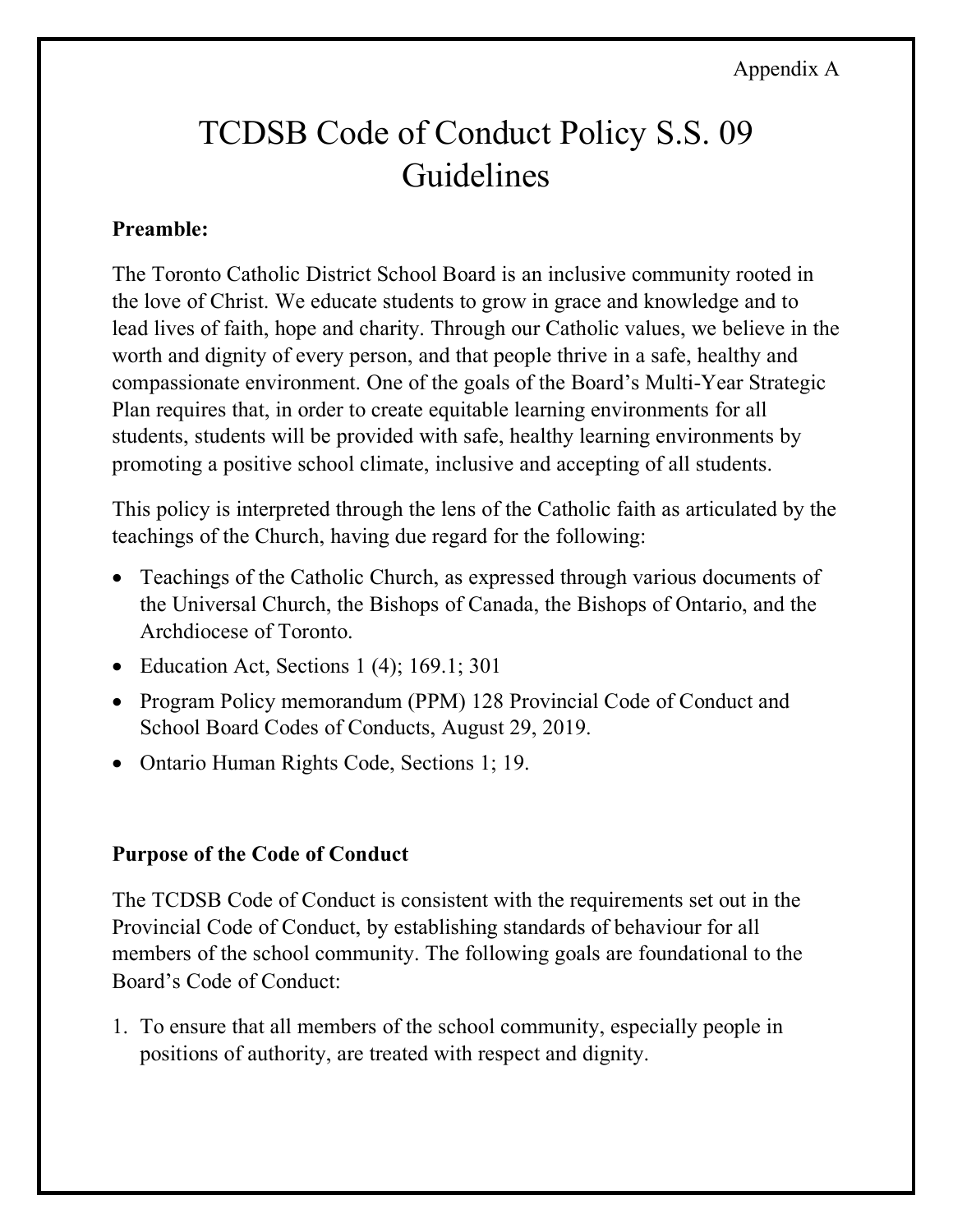#### Appendix A

# TCDSB Code of Conduct Policy S.S. 09 Guidelines

#### **Preamble:**

 The Toronto Catholic District School Board is an inclusive community rooted in the love of Christ. We educate students to grow in grace and knowledge and to lead lives of faith, hope and charity. Through our Catholic values, we believe in the worth and dignity of every person, and that people thrive in a safe, healthy and compassionate environment. One of the goals of the Board's Multi-Year Strategic Plan requires that, in order to create equitable learning environments for all students, students will be provided with safe, healthy learning environments by promoting a positive school climate, inclusive and accepting of all students.

 This policy is interpreted through the lens of the Catholic faith as articulated by the teachings of the Church, having due regard for the following:

- • Teachings of the Catholic Church, as expressed through various documents of the Universal Church, the Bishops of Canada, the Bishops of Ontario, and the Archdiocese of Toronto.
- Education Act, Sections 1 (4); 169.1; 301
- • Program Policy memorandum (PPM) 128 Provincial Code of Conduct and School Board Codes of Conducts, August 29, 2019.
- Ontario Human Rights Code, Sections 1; 19.

#### **Purpose of the Code of Conduct**

 The TCDSB Code of Conduct is consistent with the requirements set out in the Provincial Code of Conduct, by establishing standards of behaviour for all members of the school community. The following goals are foundational to the Board's Code of Conduct:

 1. To ensure that all members of the school community, especially people in positions of authority, are treated with respect and dignity.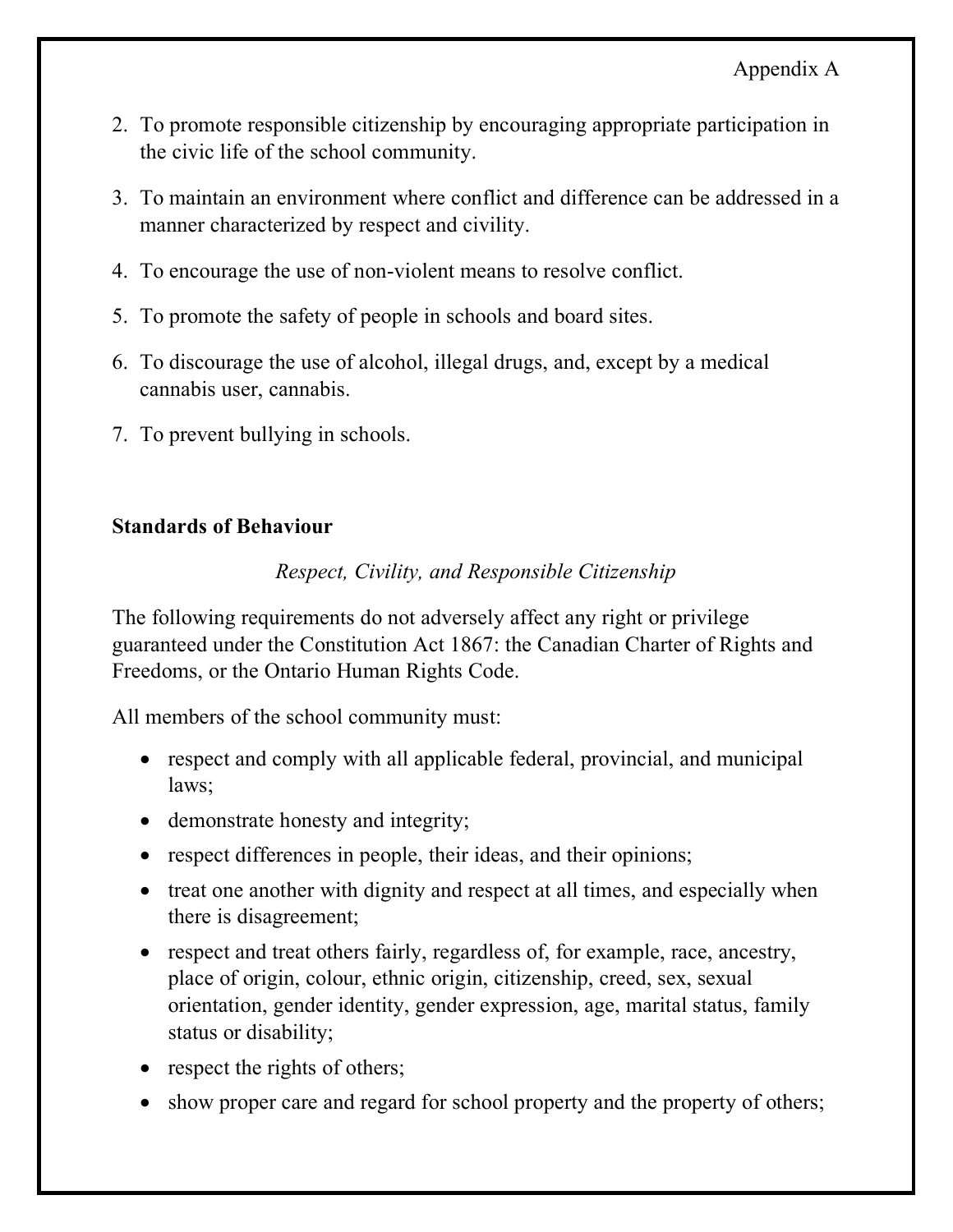- 2. To promote responsible citizenship by encouraging appropriate participation in the civic life of the school community.
- 3. To maintain an environment where conflict and difference can be addressed in a manner characterized by respect and civility.
- 4. To encourage the use of non-violent means to resolve conflict.
- 5. To promote the safety of people in schools and board sites.
- 6. To discourage the use of alcohol, illegal drugs, and, except by a medical cannabis user, cannabis.
- 7. To prevent bullying in schools.

#### **Standards of Behaviour**

# *Respect, Civility, and Responsible Citizenship*

 The following requirements do not adversely affect any right or privilege guaranteed under the Constitution Act 1867: the Canadian Charter of Rights and Freedoms, or the Ontario Human Rights Code.

All members of the school community must:

- • respect and comply with all applicable federal, provincial, and municipal laws;
- demonstrate honesty and integrity;
- respect differences in people, their ideas, and their opinions;
- • treat one another with dignity and respect at all times, and especially when there is disagreement;
- • respect and treat others fairly, regardless of, for example, race, ancestry, place of origin, colour, ethnic origin, citizenship, creed, sex, sexual orientation, gender identity, gender expression, age, marital status, family status or disability;
- respect the rights of others;
- show proper care and regard for school property and the property of others;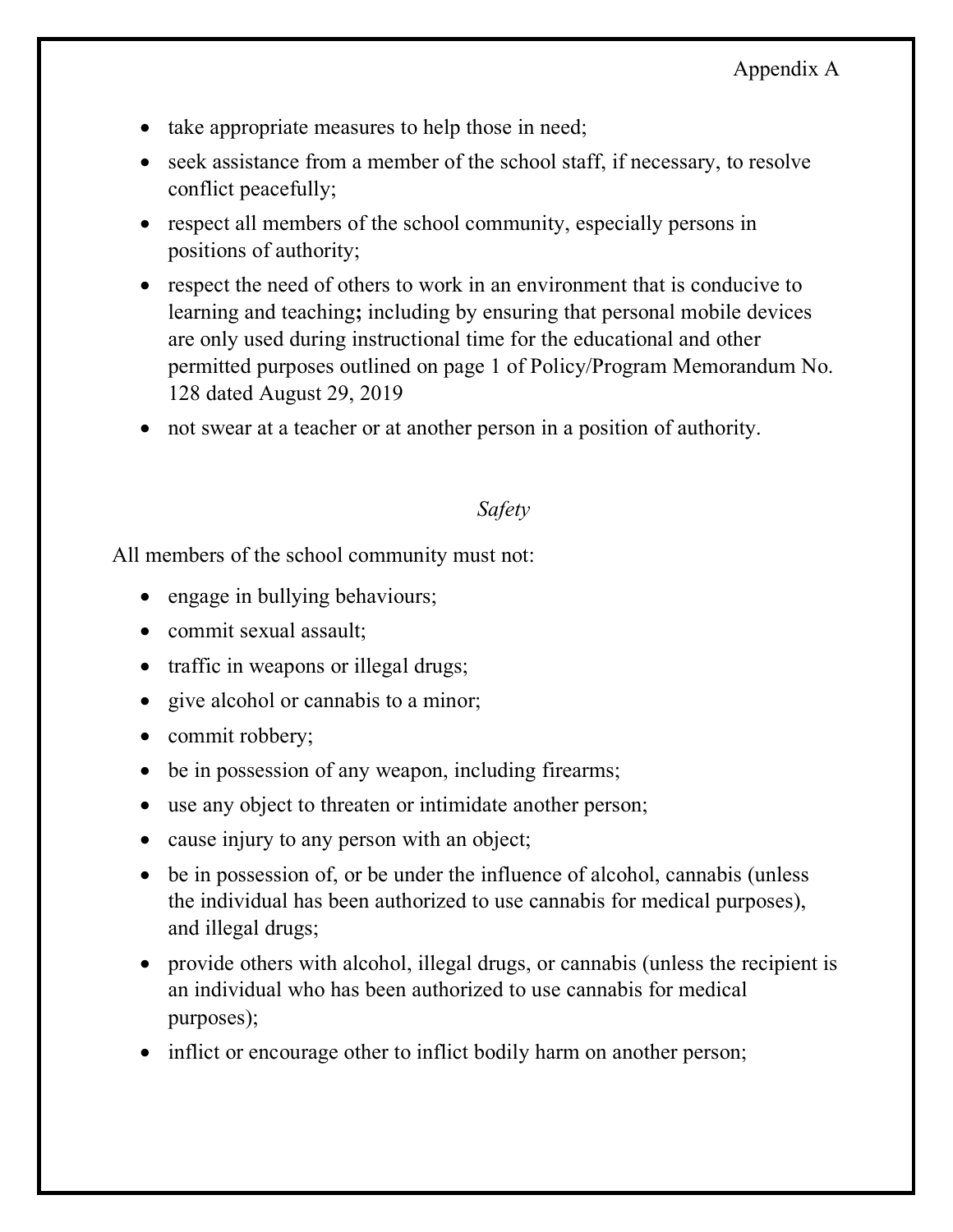- take appropriate measures to help those in need;
- • seek assistance from a member of the school staff, if necessary, to resolve conflict peacefully;
- • respect all members of the school community, especially persons in positions of authority;
- respect the need of others to work in an environment that is conducive to learning and teaching**;** including by ensuring that personal mobile devices are only used during instructional time for the educational and other permitted purposes outlined on page 1 of Policy/Program Memorandum No. 128 dated August 29, 2019
- not swear at a teacher or at another person in a position of authority.

#### *Safety*

All members of the school community must not:

- engage in bullying behaviours;
- commit sexual assault;
- traffic in weapons or illegal drugs;
- give alcohol or cannabis to a minor;
- commit robbery;
- be in possession of any weapon, including firearms;
- use any object to threaten or intimidate another person;
- cause injury to any person with an object;
- be in possession of, or be under the influence of alcohol, cannabis (unless the individual has been authorized to use cannabis for medical purposes), and illegal drugs;
- • provide others with alcohol, illegal drugs, or cannabis (unless the recipient is an individual who has been authorized to use cannabis for medical purposes);
- inflict or encourage other to inflict bodily harm on another person;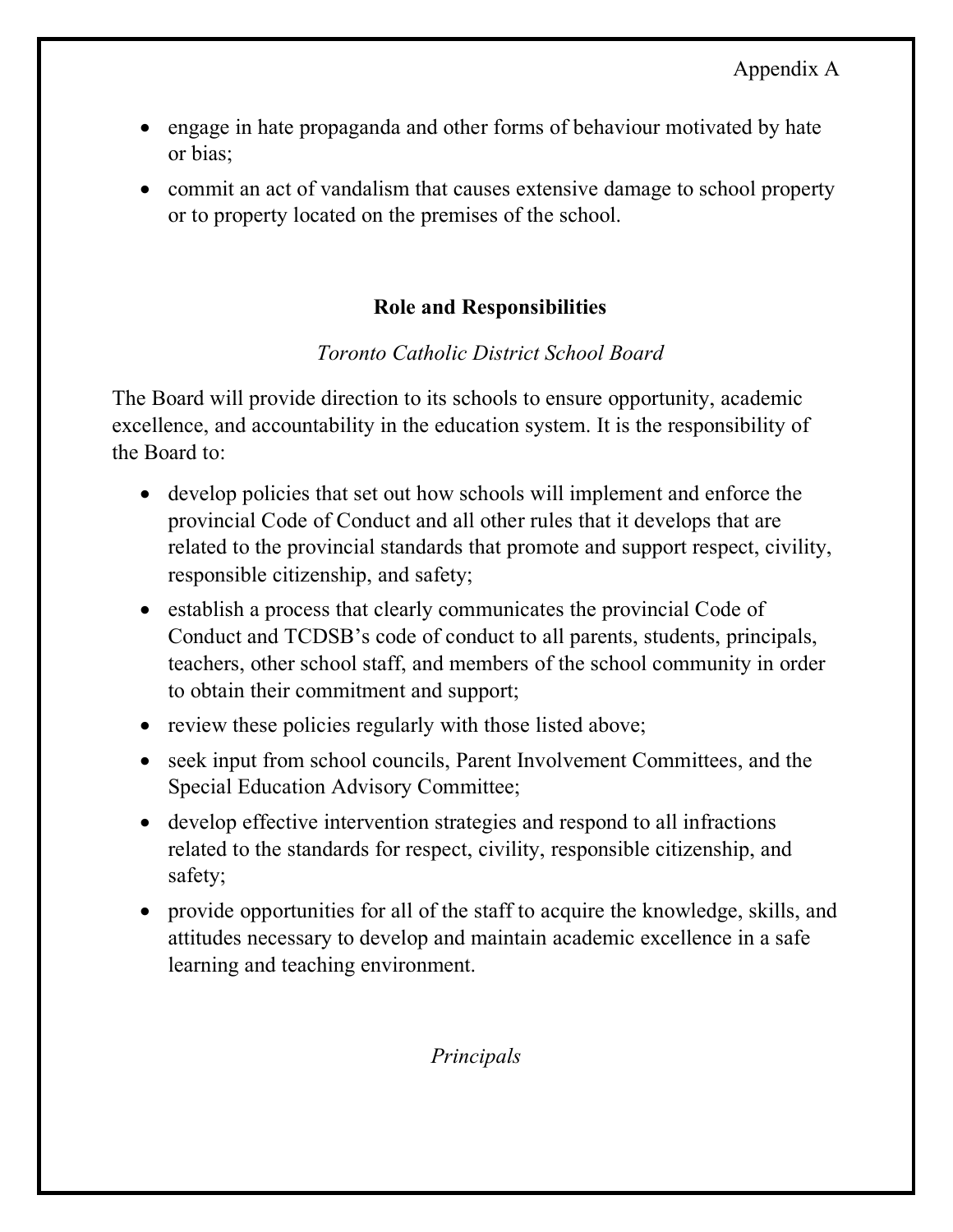- • engage in hate propaganda and other forms of behaviour motivated by hate or bias;
- • commit an act of vandalism that causes extensive damage to school property or to property located on the premises of the school.

# **Role and Responsibilities**

# *Toronto Catholic District School Board*

 The Board will provide direction to its schools to ensure opportunity, academic excellence, and accountability in the education system. It is the responsibility of the Board to:

- • develop policies that set out how schools will implement and enforce the provincial Code of Conduct and all other rules that it develops that are related to the provincial standards that promote and support respect, civility, responsible citizenship, and safety;
- • establish a process that clearly communicates the provincial Code of Conduct and TCDSB's code of conduct to all parents, students, principals, teachers, other school staff, and members of the school community in order to obtain their commitment and support;
- review these policies regularly with those listed above;
- • seek input from school councils, Parent Involvement Committees, and the Special Education Advisory Committee;
- • develop effective intervention strategies and respond to all infractions related to the standards for respect, civility, responsible citizenship, and safety;
- • provide opportunities for all of the staff to acquire the knowledge, skills, and attitudes necessary to develop and maintain academic excellence in a safe learning and teaching environment.

 *Principals*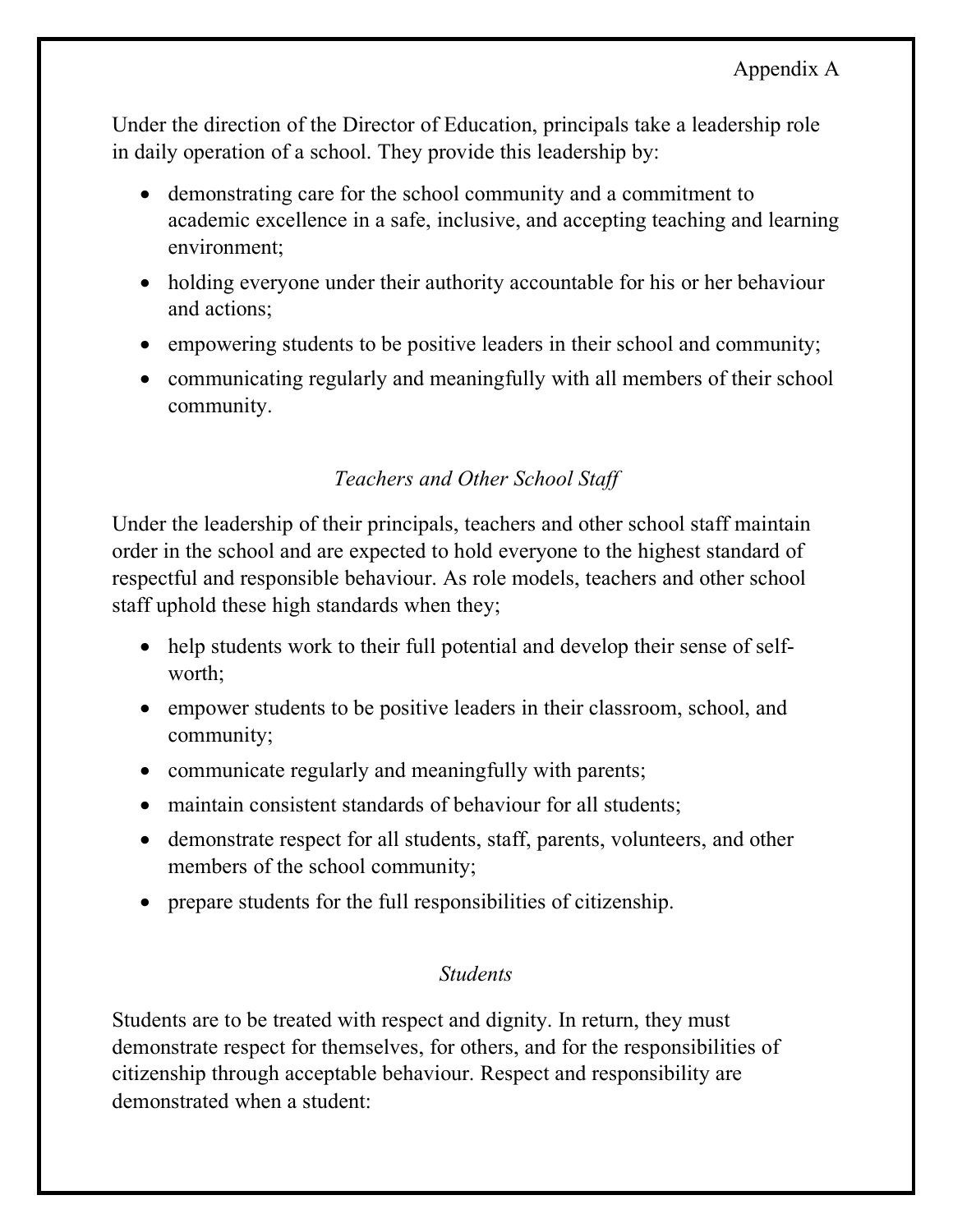Under the direction of the Director of Education, principals take a leadership role in daily operation of a school. They provide this leadership by:

- • demonstrating care for the school community and a commitment to academic excellence in a safe, inclusive, and accepting teaching and learning environment;
- • holding everyone under their authority accountable for his or her behaviour and actions;
- empowering students to be positive leaders in their school and community;
- • communicating regularly and meaningfully with all members of their school community.

# *Teachers and Other School Staff*

 Under the leadership of their principals, teachers and other school staff maintain order in the school and are expected to hold everyone to the highest standard of respectful and responsible behaviour. As role models, teachers and other school staff uphold these high standards when they;

- • help students work to their full potential and develop their sense of selfworth;
- • empower students to be positive leaders in their classroom, school, and community;
- communicate regularly and meaningfully with parents;
- maintain consistent standards of behaviour for all students;
- • demonstrate respect for all students, staff, parents, volunteers, and other members of the school community;
- prepare students for the full responsibilities of citizenship.

# *Students*

 Students are to be treated with respect and dignity. In return, they must demonstrate respect for themselves, for others, and for the responsibilities of citizenship through acceptable behaviour. Respect and responsibility are demonstrated when a student: